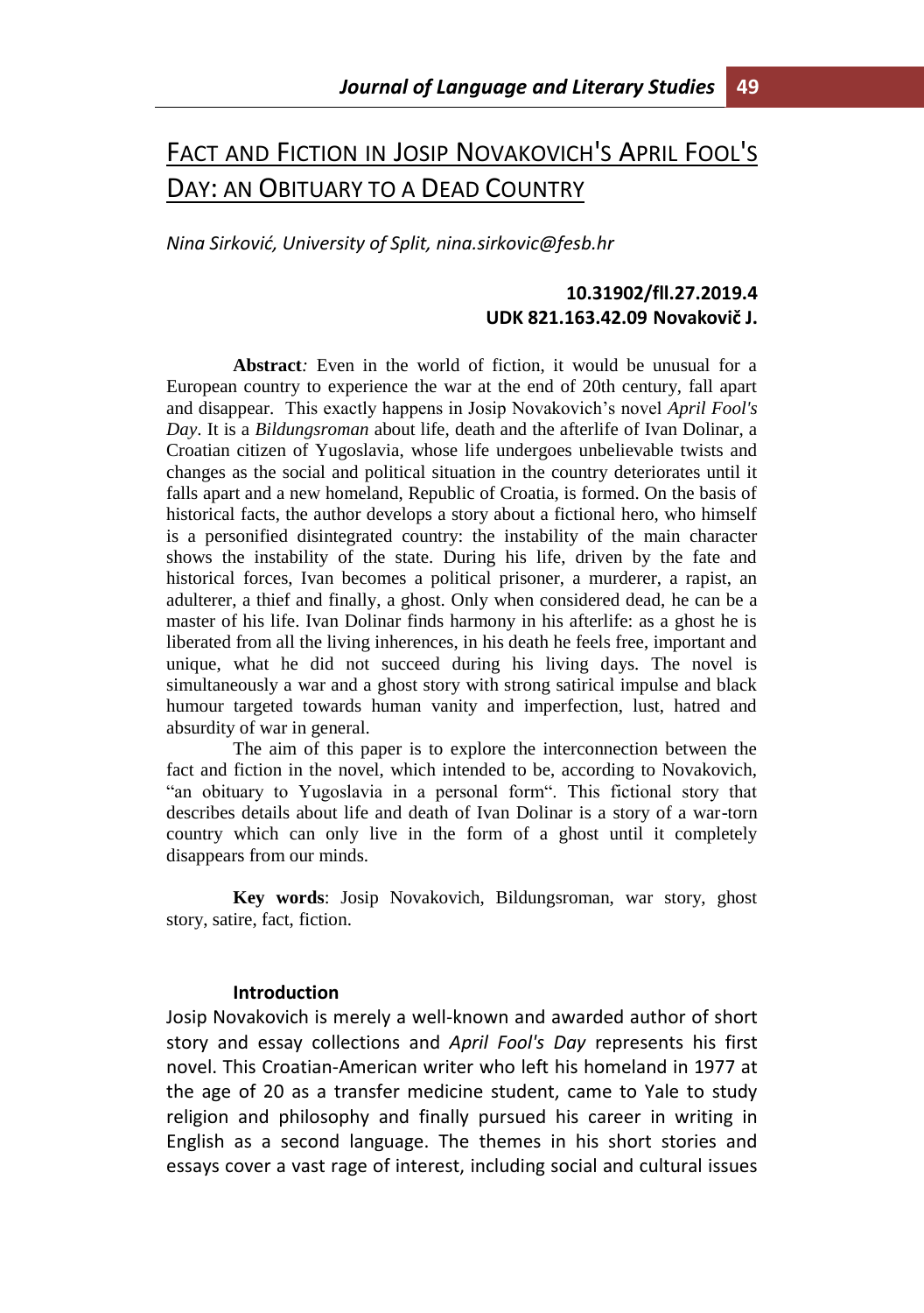# FACT AND FICTION IN JOSIP NOVAKOVICH'S APRIL FOOL'S DAY: AN OBITUARY TO A DEAD COUNTRY

*Nina Sirković, University of Split, nina.sirkovic@fesb.hr* 

## **10.31902/fll.27.2019.4 UDK 821.163.42.09 Novakovič J.**

**Abstract***:* Even in the world of fiction, it would be unusual for a European country to experience the war at the end of 20th century, fall apart and disappear. This exactly happens in Josip Novakovich's novel *April Fool's Day*. It is a *Bildungsroman* about life, death and the afterlife of Ivan Dolinar, a Croatian citizen of Yugoslavia, whose life undergoes unbelievable twists and changes as the social and political situation in the country deteriorates until it falls apart and a new homeland, Republic of Croatia, is formed. On the basis of historical facts, the author develops a story about a fictional hero, who himself is a personified disintegrated country: the instability of the main character shows the instability of the state. During his life, driven by the fate and historical forces, Ivan becomes a political prisoner, a murderer, a rapist, an adulterer, a thief and finally, a ghost. Only when considered dead, he can be a master of his life. Ivan Dolinar finds harmony in his afterlife: as a ghost he is liberated from all the living inherences, in his death he feels free, important and unique, what he did not succeed during his living days. The novel is simultaneously a war and a ghost story with strong satirical impulse and black humour targeted towards human vanity and imperfection, lust, hatred and absurdity of war in general.

The aim of this paper is to explore the interconnection between the fact and fiction in the novel, which intended to be, according to Novakovich, "an obituary to Yugoslavia in a personal form". This fictional story that describes details about life and death of Ivan Dolinar is a story of a war-torn country which can only live in the form of a ghost until it completely disappears from our minds.

**Key words**: Josip Novakovich, Bildungsroman, war story, ghost story, satire, fact, fiction.

#### **Introduction**

Josip Novakovich is merely a well-known and awarded author of short story and essay collections and *April Fool's Day* represents his first novel. This Croatian-American writer who left his homeland in 1977 at the age of 20 as a transfer medicine student, came to Yale to study religion and philosophy and finally pursued his career in writing in English as a second language. The themes in his short stories and essays cover a vast rage of interest, including social and cultural issues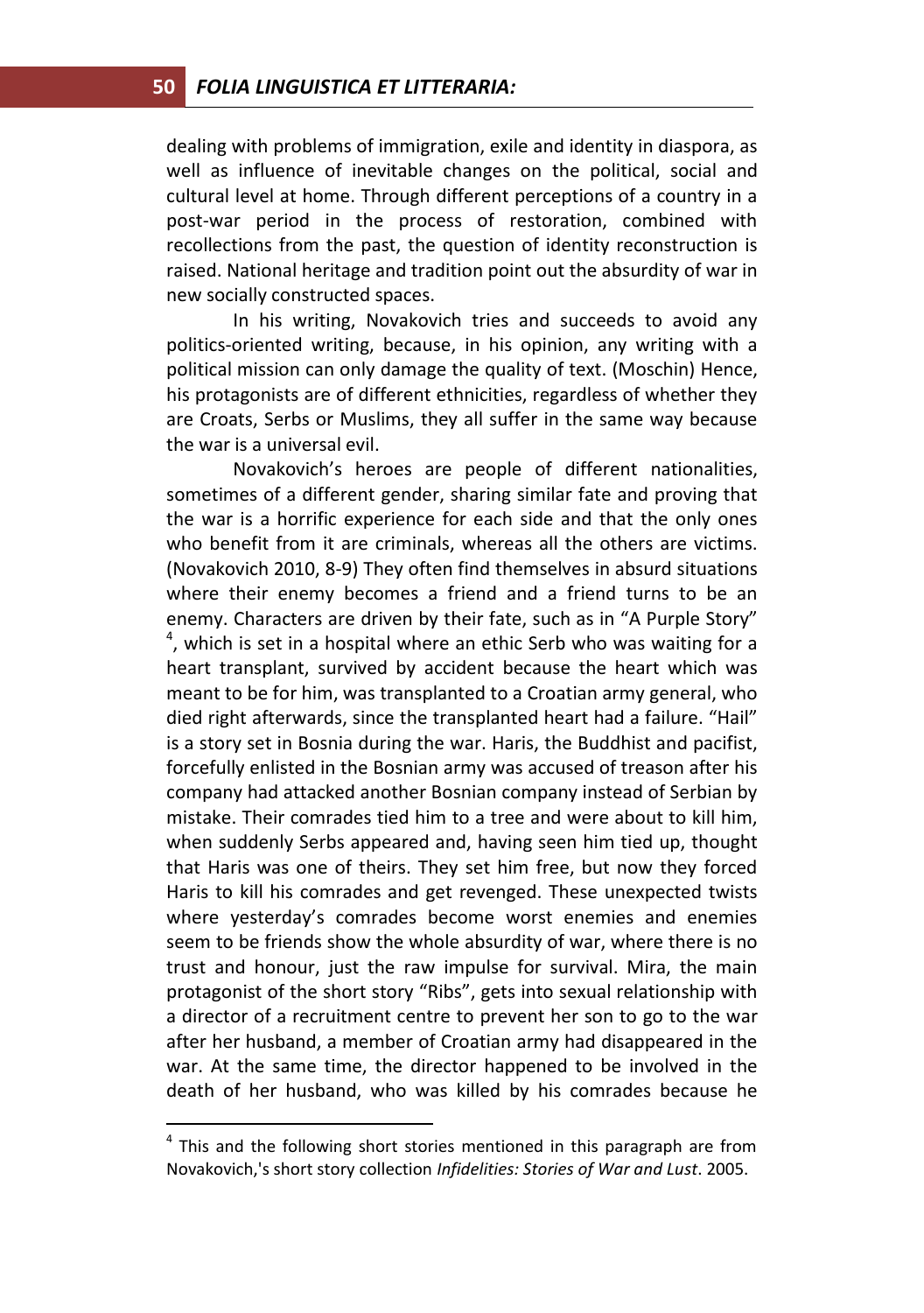dealing with problems of immigration, exile and identity in diaspora, as well as influence of inevitable changes on the political, social and cultural level at home. Through different perceptions of a country in a post-war period in the process of restoration, combined with recollections from the past, the question of identity reconstruction is raised. National heritage and tradition point out the absurdity of war in new socially constructed spaces.

In his writing, Novakovich tries and succeeds to avoid any politics-oriented writing, because, in his opinion, any writing with a political mission can only damage the quality of text. (Moschin) Hence, his protagonists are of different ethnicities, regardless of whether they are Croats, Serbs or Muslims, they all suffer in the same way because the war is a universal evil.

Novakovich's heroes are people of different nationalities, sometimes of a different gender, sharing similar fate and proving that the war is a horrific experience for each side and that the only ones who benefit from it are criminals, whereas all the others are victims. (Novakovich 2010, 8-9) They often find themselves in absurd situations where their enemy becomes a friend and a friend turns to be an enemy. Characters are driven by their fate, such as in "A Purple Story"  $<sup>4</sup>$ , which is set in a hospital where an ethic Serb who was waiting for a</sup> heart transplant, survived by accident because the heart which was meant to be for him, was transplanted to a Croatian army general, who died right afterwards, since the transplanted heart had a failure. "Hail" is a story set in Bosnia during the war. Haris, the Buddhist and pacifist, forcefully enlisted in the Bosnian army was accused of treason after his company had attacked another Bosnian company instead of Serbian by mistake. Their comrades tied him to a tree and were about to kill him, when suddenly Serbs appeared and, having seen him tied up, thought that Haris was one of theirs. They set him free, but now they forced Haris to kill his comrades and get revenged. These unexpected twists where yesterday's comrades become worst enemies and enemies seem to be friends show the whole absurdity of war, where there is no trust and honour, just the raw impulse for survival. Mira, the main protagonist of the short story "Ribs", gets into sexual relationship with a director of a recruitment centre to prevent her son to go to the war after her husband, a member of Croatian army had disappeared in the war. At the same time, the director happened to be involved in the death of her husband, who was killed by his comrades because he

 $\overline{a}$ 

 $4$  This and the following short stories mentioned in this paragraph are from Novakovich,'s short story collection *Infidelities: Stories of War and Lust*. 2005.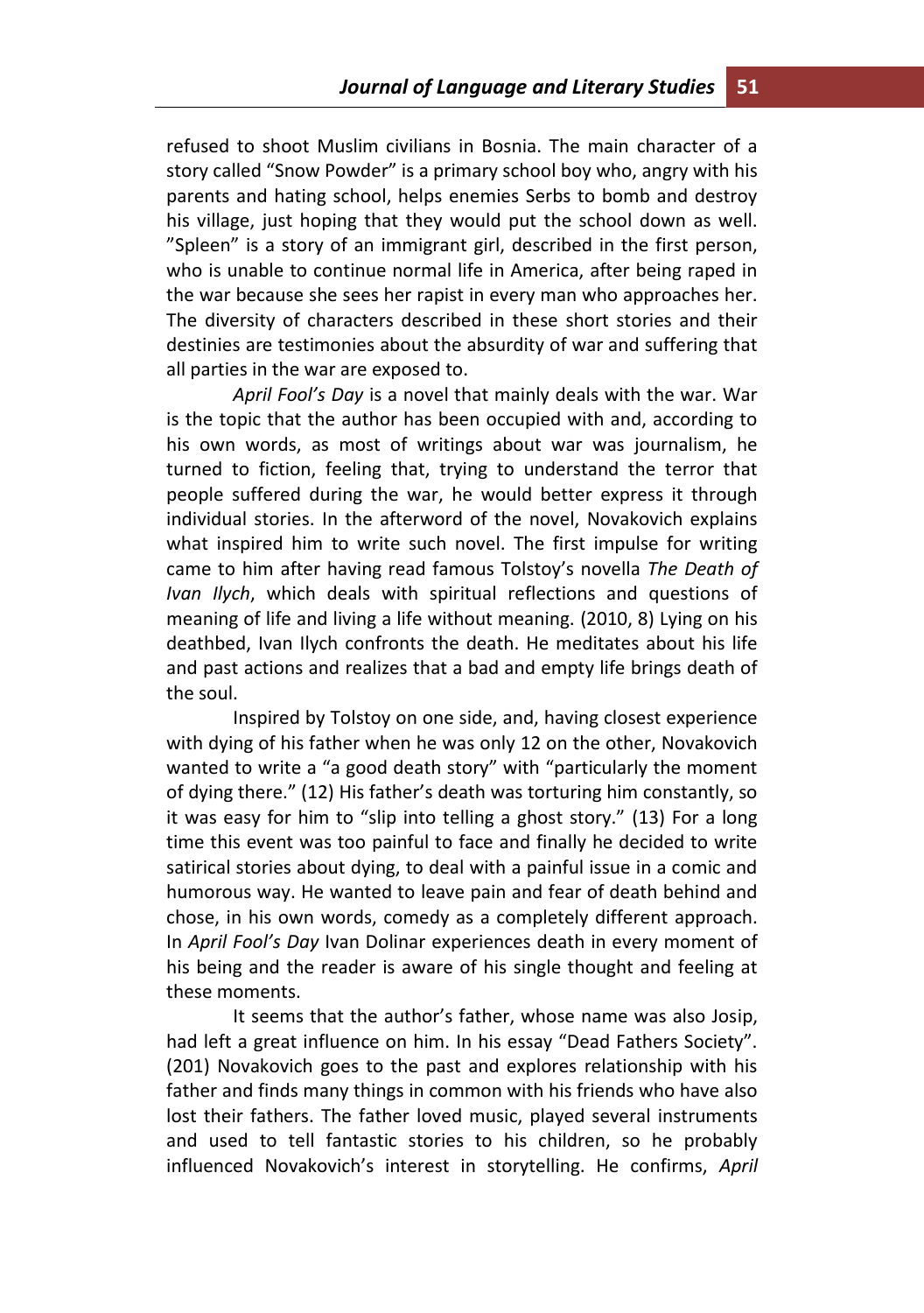refused to shoot Muslim civilians in Bosnia. The main character of a story called "Snow Powder" is a primary school boy who, angry with his parents and hating school, helps enemies Serbs to bomb and destroy his village, just hoping that they would put the school down as well. "Spleen" is a story of an immigrant girl, described in the first person, who is unable to continue normal life in America, after being raped in the war because she sees her rapist in every man who approaches her. The diversity of characters described in these short stories and their destinies are testimonies about the absurdity of war and suffering that all parties in the war are exposed to.

*April Fool's Day* is a novel that mainly deals with the war. War is the topic that the author has been occupied with and, according to his own words, as most of writings about war was journalism, he turned to fiction, feeling that, trying to understand the terror that people suffered during the war, he would better express it through individual stories. In the afterword of the novel, Novakovich explains what inspired him to write such novel. The first impulse for writing came to him after having read famous Tolstoy's novella *The Death of Ivan Ilych*, which deals with spiritual reflections and questions of meaning of life and living a life without meaning. (2010, 8) Lying on his deathbed, Ivan Ilych confronts the death. He meditates about his life and past actions and realizes that a bad and empty life brings death of the soul.

Inspired by Tolstoy on one side, and, having closest experience with dying of his father when he was only 12 on the other, Novakovich wanted to write a "a good death story" with "particularly the moment of dying there." (12) His father's death was torturing him constantly, so it was easy for him to "slip into telling a ghost story." (13) For a long time this event was too painful to face and finally he decided to write satirical stories about dying, to deal with a painful issue in a comic and humorous way. He wanted to leave pain and fear of death behind and chose, in his own words, comedy as a completely different approach. In *April Fool's Day* Ivan Dolinar experiences death in every moment of his being and the reader is aware of his single thought and feeling at these moments.

It seems that the author's father, whose name was also Josip, had left a great influence on him. In his essay "Dead Fathers Society". (201) Novakovich goes to the past and explores relationship with his father and finds many things in common with his friends who have also lost their fathers. The father loved music, played several instruments and used to tell fantastic stories to his children, so he probably influenced Novakovich's interest in storytelling. He confirms, *April*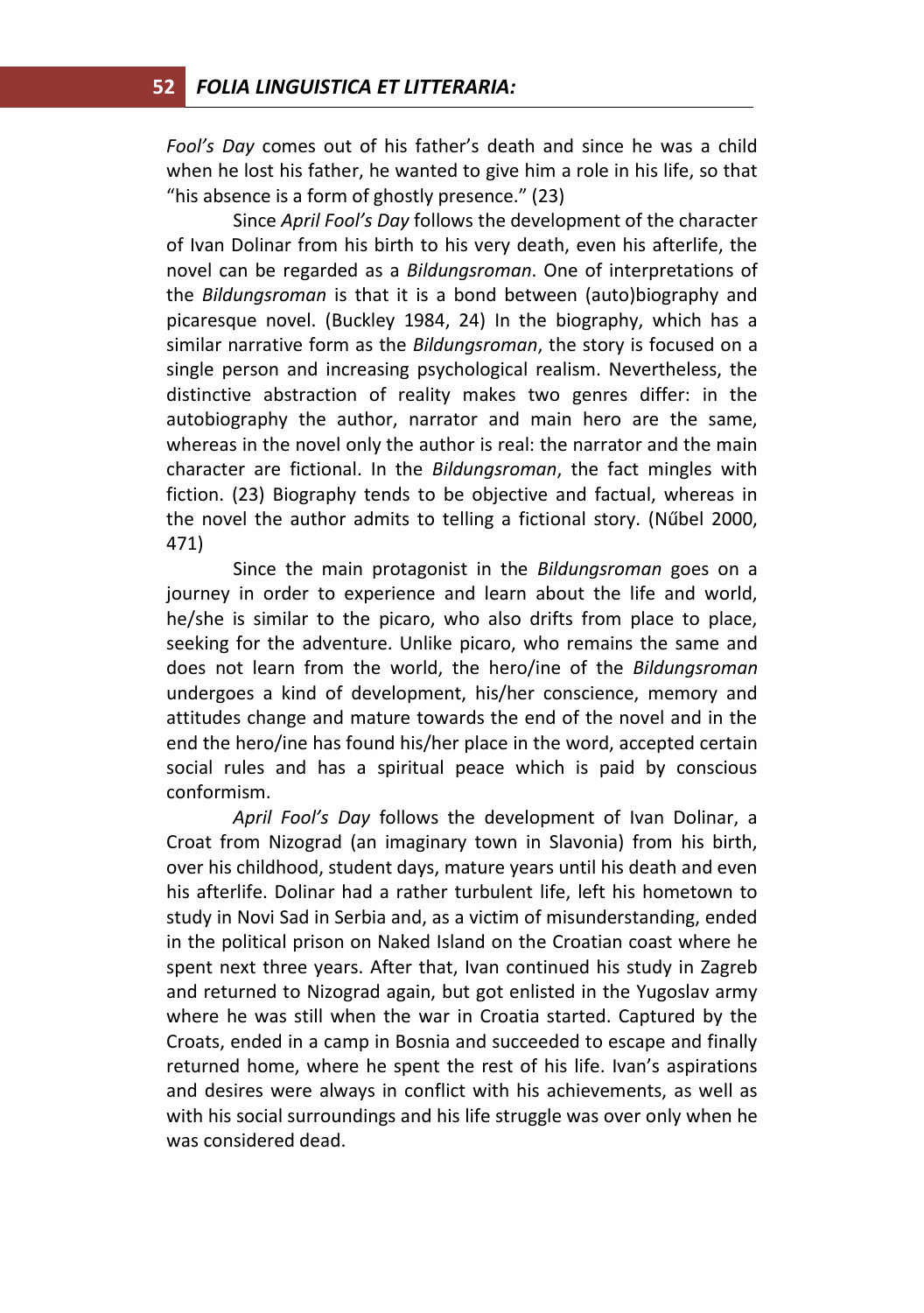*Fool's Day* comes out of his father's death and since he was a child when he lost his father, he wanted to give him a role in his life, so that "his absence is a form of ghostly presence." (23)

Since *April Fool's Day* follows the development of the character of Ivan Dolinar from his birth to his very death, even his afterlife, the novel can be regarded as a *Bildungsroman*. One of interpretations of the *Bildungsroman* is that it is a bond between (auto)biography and picaresque novel. (Buckley 1984, 24) In the biography, which has a similar narrative form as the *Bildungsroman*, the story is focused on a single person and increasing psychological realism. Nevertheless, the distinctive abstraction of reality makes two genres differ: in the autobiography the author, narrator and main hero are the same, whereas in the novel only the author is real: the narrator and the main character are fictional. In the *Bildungsroman*, the fact mingles with fiction. (23) Biography tends to be objective and factual, whereas in the novel the author admits to telling a fictional story. (Nűbel 2000, 471)

Since the main protagonist in the *Bildungsroman* goes on a journey in order to experience and learn about the life and world, he/she is similar to the picaro, who also drifts from place to place, seeking for the adventure. Unlike picaro, who remains the same and does not learn from the world, the hero/ine of the *Bildungsroman* undergoes a kind of development, his/her conscience, memory and attitudes change and mature towards the end of the novel and in the end the hero/ine has found his/her place in the word, accepted certain social rules and has a spiritual peace which is paid by conscious conformism.

*April Fool's Day* follows the development of Ivan Dolinar, a Croat from Nizograd (an imaginary town in Slavonia) from his birth, over his childhood, student days, mature years until his death and even his afterlife. Dolinar had a rather turbulent life, left his hometown to study in Novi Sad in Serbia and, as a victim of misunderstanding, ended in the political prison on Naked Island on the Croatian coast where he spent next three years. After that, Ivan continued his study in Zagreb and returned to Nizograd again, but got enlisted in the Yugoslav army where he was still when the war in Croatia started. Captured by the Croats, ended in a camp in Bosnia and succeeded to escape and finally returned home, where he spent the rest of his life. Ivan's aspirations and desires were always in conflict with his achievements, as well as with his social surroundings and his life struggle was over only when he was considered dead.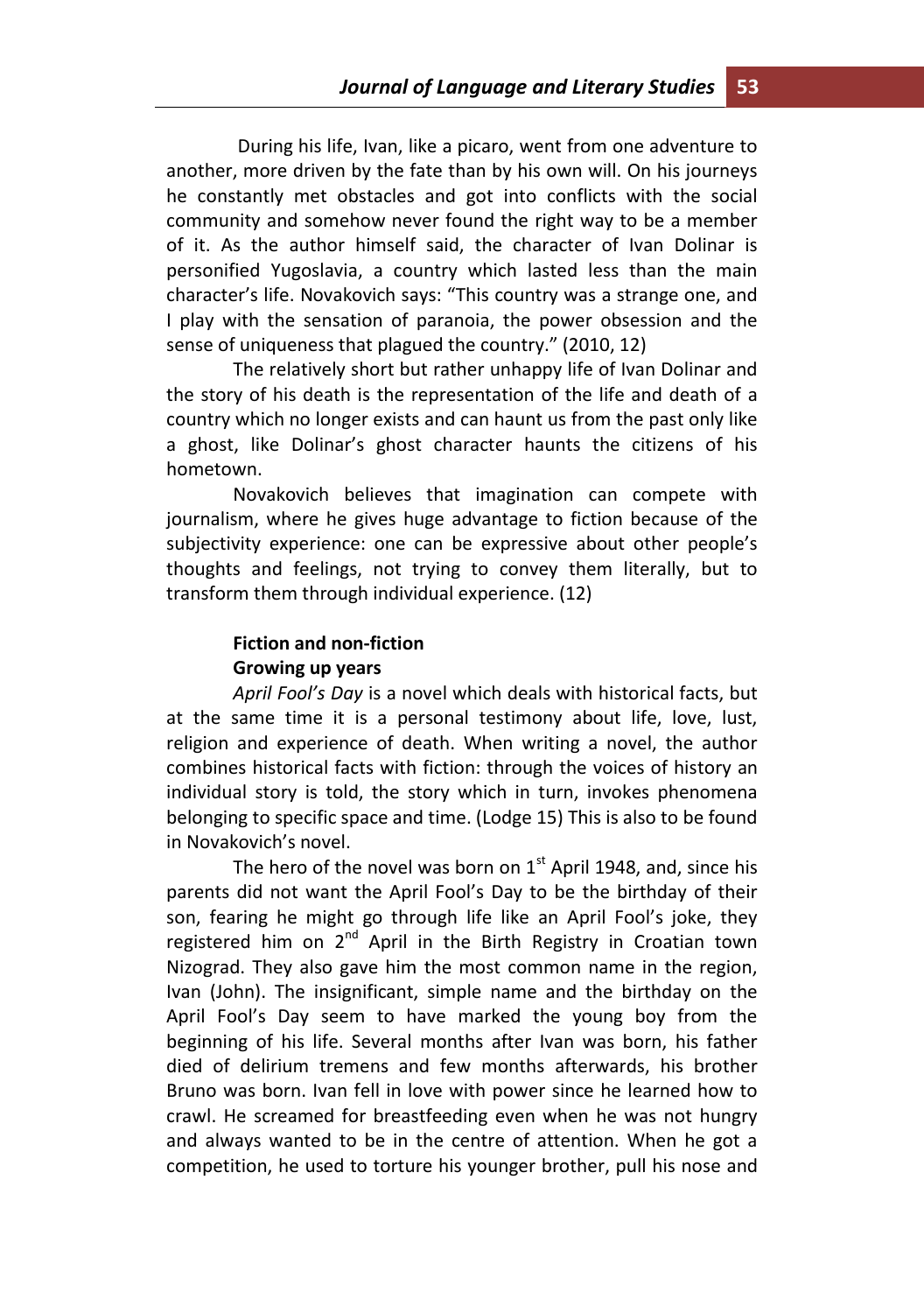During his life, Ivan, like a picaro, went from one adventure to another, more driven by the fate than by his own will. On his journeys he constantly met obstacles and got into conflicts with the social community and somehow never found the right way to be a member of it. As the author himself said, the character of Ivan Dolinar is personified Yugoslavia, a country which lasted less than the main character's life. Novakovich says: "This country was a strange one, and I play with the sensation of paranoia, the power obsession and the sense of uniqueness that plagued the country." (2010, 12)

The relatively short but rather unhappy life of Ivan Dolinar and the story of his death is the representation of the life and death of a country which no longer exists and can haunt us from the past only like a ghost, like Dolinar's ghost character haunts the citizens of his hometown.

Novakovich believes that imagination can compete with journalism, where he gives huge advantage to fiction because of the subjectivity experience: one can be expressive about other people's thoughts and feelings, not trying to convey them literally, but to transform them through individual experience. (12)

# **Fiction and non-fiction Growing up years**

*April Fool's Day* is a novel which deals with historical facts, but at the same time it is a personal testimony about life, love, lust, religion and experience of death. When writing a novel, the author combines historical facts with fiction: through the voices of history an individual story is told, the story which in turn, invokes phenomena belonging to specific space and time. (Lodge 15) This is also to be found in Novakovich's novel.

The hero of the novel was born on  $1<sup>st</sup>$  April 1948, and, since his parents did not want the April Fool's Day to be the birthday of their son, fearing he might go through life like an April Fool's joke, they registered him on  $2^{nd}$  April in the Birth Registry in Croatian town Nizograd. They also gave him the most common name in the region, Ivan (John). The insignificant, simple name and the birthday on the April Fool's Day seem to have marked the young boy from the beginning of his life. Several months after Ivan was born, his father died of delirium tremens and few months afterwards, his brother Bruno was born. Ivan fell in love with power since he learned how to crawl. He screamed for breastfeeding even when he was not hungry and always wanted to be in the centre of attention. When he got a competition, he used to torture his younger brother, pull his nose and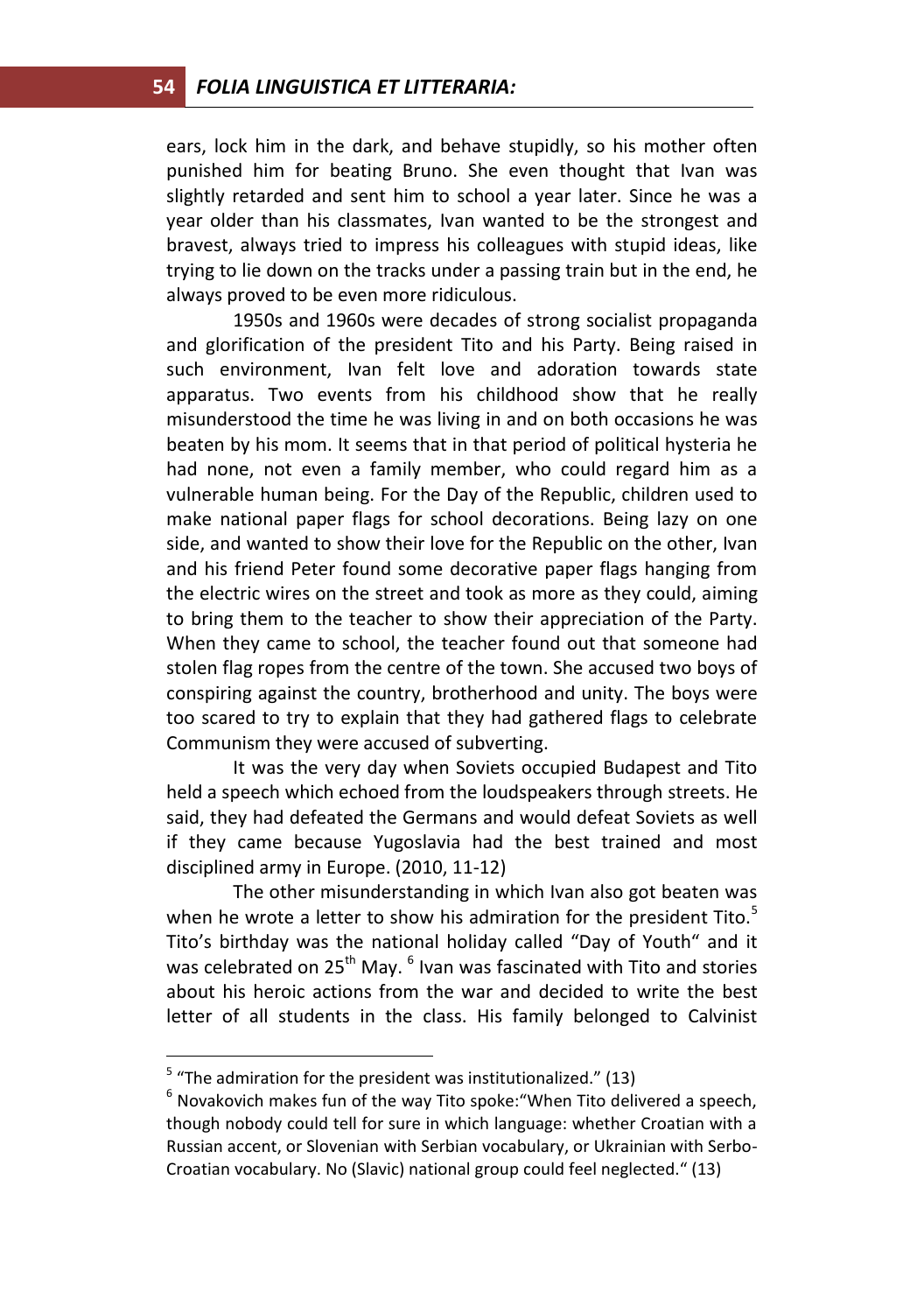ears, lock him in the dark, and behave stupidly, so his mother often punished him for beating Bruno. She even thought that Ivan was slightly retarded and sent him to school a year later. Since he was a year older than his classmates, Ivan wanted to be the strongest and bravest, always tried to impress his colleagues with stupid ideas, like trying to lie down on the tracks under a passing train but in the end, he always proved to be even more ridiculous.

1950s and 1960s were decades of strong socialist propaganda and glorification of the president Tito and his Party. Being raised in such environment, Ivan felt love and adoration towards state apparatus. Two events from his childhood show that he really misunderstood the time he was living in and on both occasions he was beaten by his mom. It seems that in that period of political hysteria he had none, not even a family member, who could regard him as a vulnerable human being. For the Day of the Republic, children used to make national paper flags for school decorations. Being lazy on one side, and wanted to show their love for the Republic on the other, Ivan and his friend Peter found some decorative paper flags hanging from the electric wires on the street and took as more as they could, aiming to bring them to the teacher to show their appreciation of the Party. When they came to school, the teacher found out that someone had stolen flag ropes from the centre of the town. She accused two boys of conspiring against the country, brotherhood and unity. The boys were too scared to try to explain that they had gathered flags to celebrate Communism they were accused of subverting.

It was the very day when Soviets occupied Budapest and Tito held a speech which echoed from the loudspeakers through streets. He said, they had defeated the Germans and would defeat Soviets as well if they came because Yugoslavia had the best trained and most disciplined army in Europe. (2010, 11-12)

The other misunderstanding in which Ivan also got beaten was when he wrote a letter to show his admiration for the president Tito. $5$ Tito's birthday was the national holiday called "Day of Youth" and it was celebrated on 25<sup>th</sup> May.  $^6$  Ivan was fascinated with Tito and stories about his heroic actions from the war and decided to write the best letter of all students in the class. His family belonged to Calvinist

 $\overline{a}$ 

 $5$  "The admiration for the president was institutionalized." (13)

 $<sup>6</sup>$  Novakovich makes fun of the way Tito spoke: "When Tito delivered a speech,</sup> though nobody could tell for sure in which language: whether Croatian with a Russian accent, or Slovenian with Serbian vocabulary, or Ukrainian with Serbo-Croatian vocabulary. No (Slavic) national group could feel neglected." (13)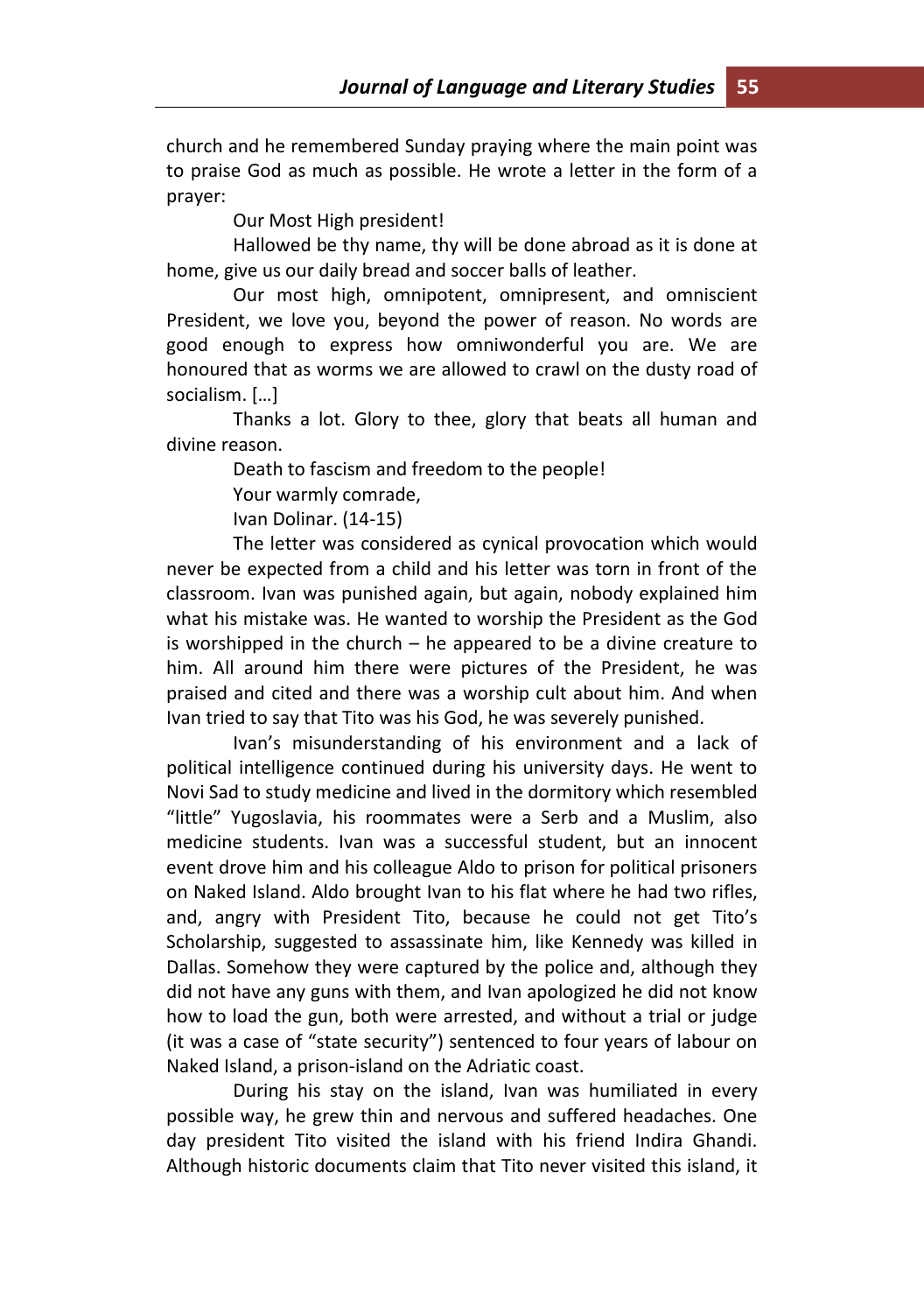church and he remembered Sunday praying where the main point was to praise God as much as possible. He wrote a letter in the form of a prayer:

Our Most High president!

Hallowed be thy name, thy will be done abroad as it is done at home, give us our daily bread and soccer balls of leather.

Our most high, omnipotent, omnipresent, and omniscient President, we love you, beyond the power of reason. No words are good enough to express how omniwonderful you are. We are honoured that as worms we are allowed to crawl on the dusty road of socialism. […]

Thanks a lot. Glory to thee, glory that beats all human and divine reason.

Death to fascism and freedom to the people!

Your warmly comrade,

Ivan Dolinar. (14-15)

The letter was considered as cynical provocation which would never be expected from a child and his letter was torn in front of the classroom. Ivan was punished again, but again, nobody explained him what his mistake was. He wanted to worship the President as the God is worshipped in the church – he appeared to be a divine creature to him. All around him there were pictures of the President, he was praised and cited and there was a worship cult about him. And when Ivan tried to say that Tito was his God, he was severely punished.

Ivan's misunderstanding of his environment and a lack of political intelligence continued during his university days. He went to Novi Sad to study medicine and lived in the dormitory which resembled "little" Yugoslavia, his roommates were a Serb and a Muslim, also medicine students. Ivan was a successful student, but an innocent event drove him and his colleague Aldo to prison for political prisoners on Naked Island. Aldo brought Ivan to his flat where he had two rifles, and, angry with President Tito, because he could not get Tito's Scholarship, suggested to assassinate him, like Kennedy was killed in Dallas. Somehow they were captured by the police and, although they did not have any guns with them, and Ivan apologized he did not know how to load the gun, both were arrested, and without a trial or judge (it was a case of "state security") sentenced to four years of labour on Naked Island, a prison-island on the Adriatic coast.

During his stay on the island, Ivan was humiliated in every possible way, he grew thin and nervous and suffered headaches. One day president Tito visited the island with his friend Indira Ghandi. Although historic documents claim that Tito never visited this island, it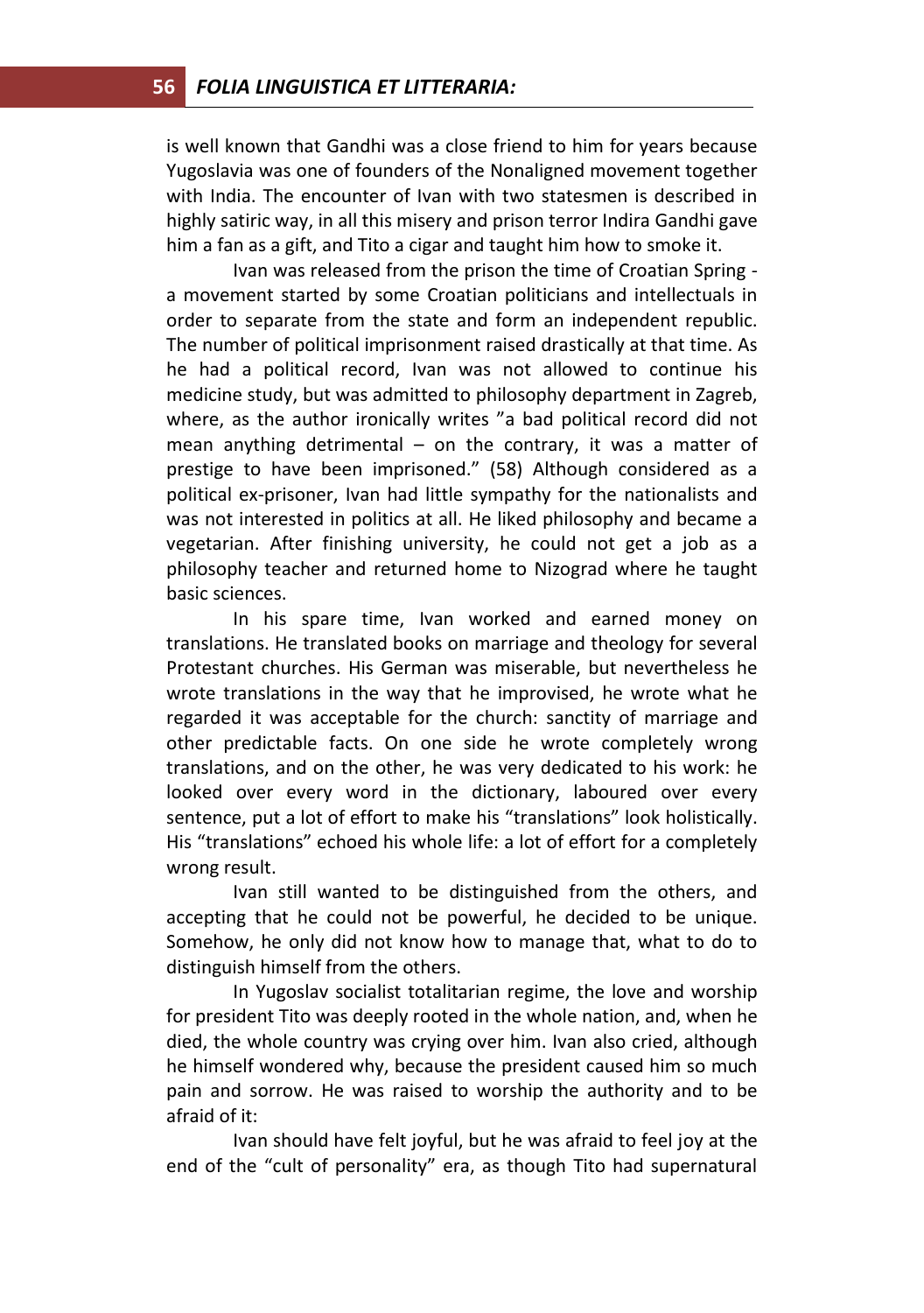is well known that Gandhi was a close friend to him for years because Yugoslavia was one of founders of the Nonaligned movement together with India. The encounter of Ivan with two statesmen is described in highly satiric way, in all this misery and prison terror Indira Gandhi gave him a fan as a gift, and Tito a cigar and taught him how to smoke it.

Ivan was released from the prison the time of Croatian Spring a movement started by some Croatian politicians and intellectuals in order to separate from the state and form an independent republic. The number of political imprisonment raised drastically at that time. As he had a political record, Ivan was not allowed to continue his medicine study, but was admitted to philosophy department in Zagreb, where, as the author ironically writes "a bad political record did not mean anything detrimental  $-$  on the contrary, it was a matter of prestige to have been imprisoned." (58) Although considered as a political ex-prisoner, Ivan had little sympathy for the nationalists and was not interested in politics at all. He liked philosophy and became a vegetarian. After finishing university, he could not get a job as a philosophy teacher and returned home to Nizograd where he taught basic sciences.

In his spare time, Ivan worked and earned money on translations. He translated books on marriage and theology for several Protestant churches. His German was miserable, but nevertheless he wrote translations in the way that he improvised, he wrote what he regarded it was acceptable for the church: sanctity of marriage and other predictable facts. On one side he wrote completely wrong translations, and on the other, he was very dedicated to his work: he looked over every word in the dictionary, laboured over every sentence, put a lot of effort to make his "translations" look holistically. His "translations" echoed his whole life: a lot of effort for a completely wrong result.

Ivan still wanted to be distinguished from the others, and accepting that he could not be powerful, he decided to be unique. Somehow, he only did not know how to manage that, what to do to distinguish himself from the others.

In Yugoslav socialist totalitarian regime, the love and worship for president Tito was deeply rooted in the whole nation, and, when he died, the whole country was crying over him. Ivan also cried, although he himself wondered why, because the president caused him so much pain and sorrow. He was raised to worship the authority and to be afraid of it:

Ivan should have felt joyful, but he was afraid to feel joy at the end of the "cult of personality" era, as though Tito had supernatural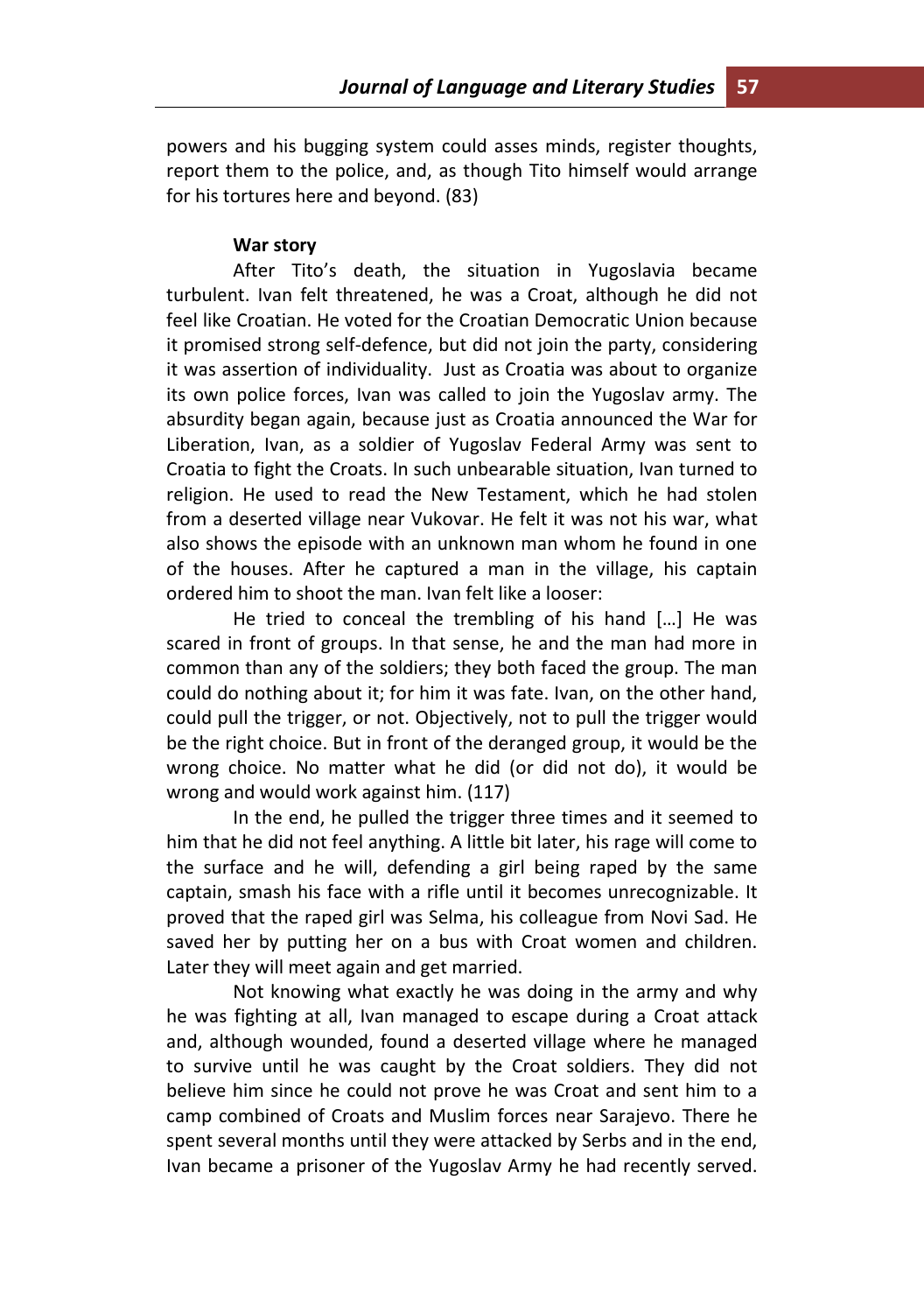powers and his bugging system could asses minds, register thoughts, report them to the police, and, as though Tito himself would arrange for his tortures here and beyond. (83)

#### **War story**

After Tito's death, the situation in Yugoslavia became turbulent. Ivan felt threatened, he was a Croat, although he did not feel like Croatian. He voted for the Croatian Democratic Union because it promised strong self-defence, but did not join the party, considering it was assertion of individuality. Just as Croatia was about to organize its own police forces, Ivan was called to join the Yugoslav army. The absurdity began again, because just as Croatia announced the War for Liberation, Ivan, as a soldier of Yugoslav Federal Army was sent to Croatia to fight the Croats. In such unbearable situation, Ivan turned to religion. He used to read the New Testament, which he had stolen from a deserted village near Vukovar. He felt it was not his war, what also shows the episode with an unknown man whom he found in one of the houses. After he captured a man in the village, his captain ordered him to shoot the man. Ivan felt like a looser:

He tried to conceal the trembling of his hand […] He was scared in front of groups. In that sense, he and the man had more in common than any of the soldiers; they both faced the group. The man could do nothing about it; for him it was fate. Ivan, on the other hand, could pull the trigger, or not. Objectively, not to pull the trigger would be the right choice. But in front of the deranged group, it would be the wrong choice. No matter what he did (or did not do), it would be wrong and would work against him. (117)

In the end, he pulled the trigger three times and it seemed to him that he did not feel anything. A little bit later, his rage will come to the surface and he will, defending a girl being raped by the same captain, smash his face with a rifle until it becomes unrecognizable. It proved that the raped girl was Selma, his colleague from Novi Sad. He saved her by putting her on a bus with Croat women and children. Later they will meet again and get married.

Not knowing what exactly he was doing in the army and why he was fighting at all, Ivan managed to escape during a Croat attack and, although wounded, found a deserted village where he managed to survive until he was caught by the Croat soldiers. They did not believe him since he could not prove he was Croat and sent him to a camp combined of Croats and Muslim forces near Sarajevo. There he spent several months until they were attacked by Serbs and in the end, Ivan became a prisoner of the Yugoslav Army he had recently served.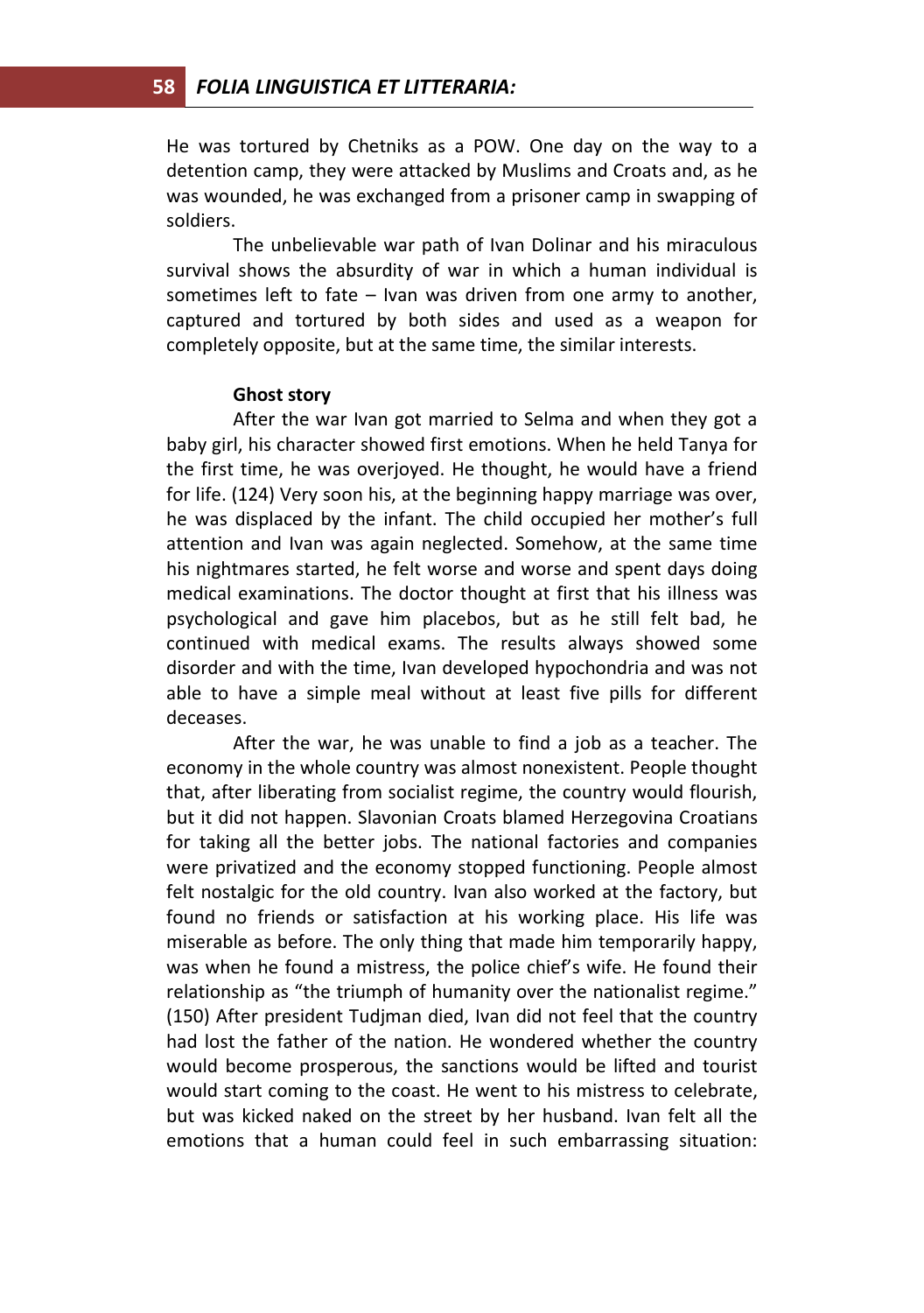He was tortured by Chetniks as a POW. One day on the way to a detention camp, they were attacked by Muslims and Croats and, as he was wounded, he was exchanged from a prisoner camp in swapping of soldiers.

The unbelievable war path of Ivan Dolinar and his miraculous survival shows the absurdity of war in which a human individual is sometimes left to fate – Ivan was driven from one army to another, captured and tortured by both sides and used as a weapon for completely opposite, but at the same time, the similar interests.

#### **Ghost story**

After the war Ivan got married to Selma and when they got a baby girl, his character showed first emotions. When he held Tanya for the first time, he was overjoyed. He thought, he would have a friend for life. (124) Very soon his, at the beginning happy marriage was over, he was displaced by the infant. The child occupied her mother's full attention and Ivan was again neglected. Somehow, at the same time his nightmares started, he felt worse and worse and spent days doing medical examinations. The doctor thought at first that his illness was psychological and gave him placebos, but as he still felt bad, he continued with medical exams. The results always showed some disorder and with the time, Ivan developed hypochondria and was not able to have a simple meal without at least five pills for different deceases.

After the war, he was unable to find a job as a teacher. The economy in the whole country was almost nonexistent. People thought that, after liberating from socialist regime, the country would flourish, but it did not happen. Slavonian Croats blamed Herzegovina Croatians for taking all the better jobs. The national factories and companies were privatized and the economy stopped functioning. People almost felt nostalgic for the old country. Ivan also worked at the factory, but found no friends or satisfaction at his working place. His life was miserable as before. The only thing that made him temporarily happy, was when he found a mistress, the police chief's wife. He found their relationship as "the triumph of humanity over the nationalist regime." (150) After president Tudjman died, Ivan did not feel that the country had lost the father of the nation. He wondered whether the country would become prosperous, the sanctions would be lifted and tourist would start coming to the coast. He went to his mistress to celebrate, but was kicked naked on the street by her husband. Ivan felt all the emotions that a human could feel in such embarrassing situation: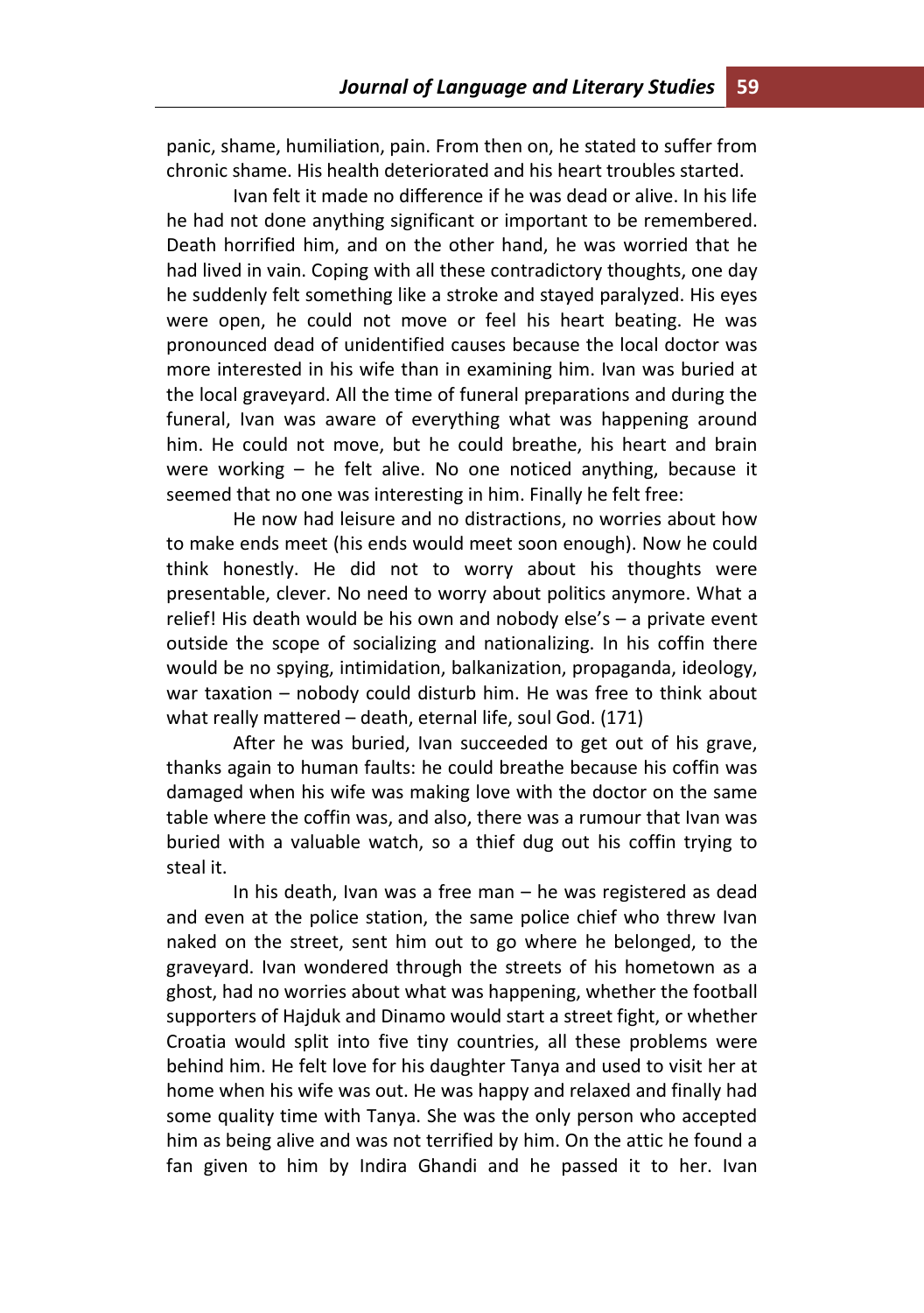panic, shame, humiliation, pain. From then on, he stated to suffer from chronic shame. His health deteriorated and his heart troubles started.

Ivan felt it made no difference if he was dead or alive. In his life he had not done anything significant or important to be remembered. Death horrified him, and on the other hand, he was worried that he had lived in vain. Coping with all these contradictory thoughts, one day he suddenly felt something like a stroke and stayed paralyzed. His eyes were open, he could not move or feel his heart beating. He was pronounced dead of unidentified causes because the local doctor was more interested in his wife than in examining him. Ivan was buried at the local graveyard. All the time of funeral preparations and during the funeral, Ivan was aware of everything what was happening around him. He could not move, but he could breathe, his heart and brain were working – he felt alive. No one noticed anything, because it seemed that no one was interesting in him. Finally he felt free:

He now had leisure and no distractions, no worries about how to make ends meet (his ends would meet soon enough). Now he could think honestly. He did not to worry about his thoughts were presentable, clever. No need to worry about politics anymore. What a relief! His death would be his own and nobody else's – a private event outside the scope of socializing and nationalizing. In his coffin there would be no spying, intimidation, balkanization, propaganda, ideology, war taxation – nobody could disturb him. He was free to think about what really mattered – death, eternal life, soul God. (171)

After he was buried, Ivan succeeded to get out of his grave, thanks again to human faults: he could breathe because his coffin was damaged when his wife was making love with the doctor on the same table where the coffin was, and also, there was a rumour that Ivan was buried with a valuable watch, so a thief dug out his coffin trying to steal it.

In his death, Ivan was a free man – he was registered as dead and even at the police station, the same police chief who threw Ivan naked on the street, sent him out to go where he belonged, to the graveyard. Ivan wondered through the streets of his hometown as a ghost, had no worries about what was happening, whether the football supporters of Hajduk and Dinamo would start a street fight, or whether Croatia would split into five tiny countries, all these problems were behind him. He felt love for his daughter Tanya and used to visit her at home when his wife was out. He was happy and relaxed and finally had some quality time with Tanya. She was the only person who accepted him as being alive and was not terrified by him. On the attic he found a fan given to him by Indira Ghandi and he passed it to her. Ivan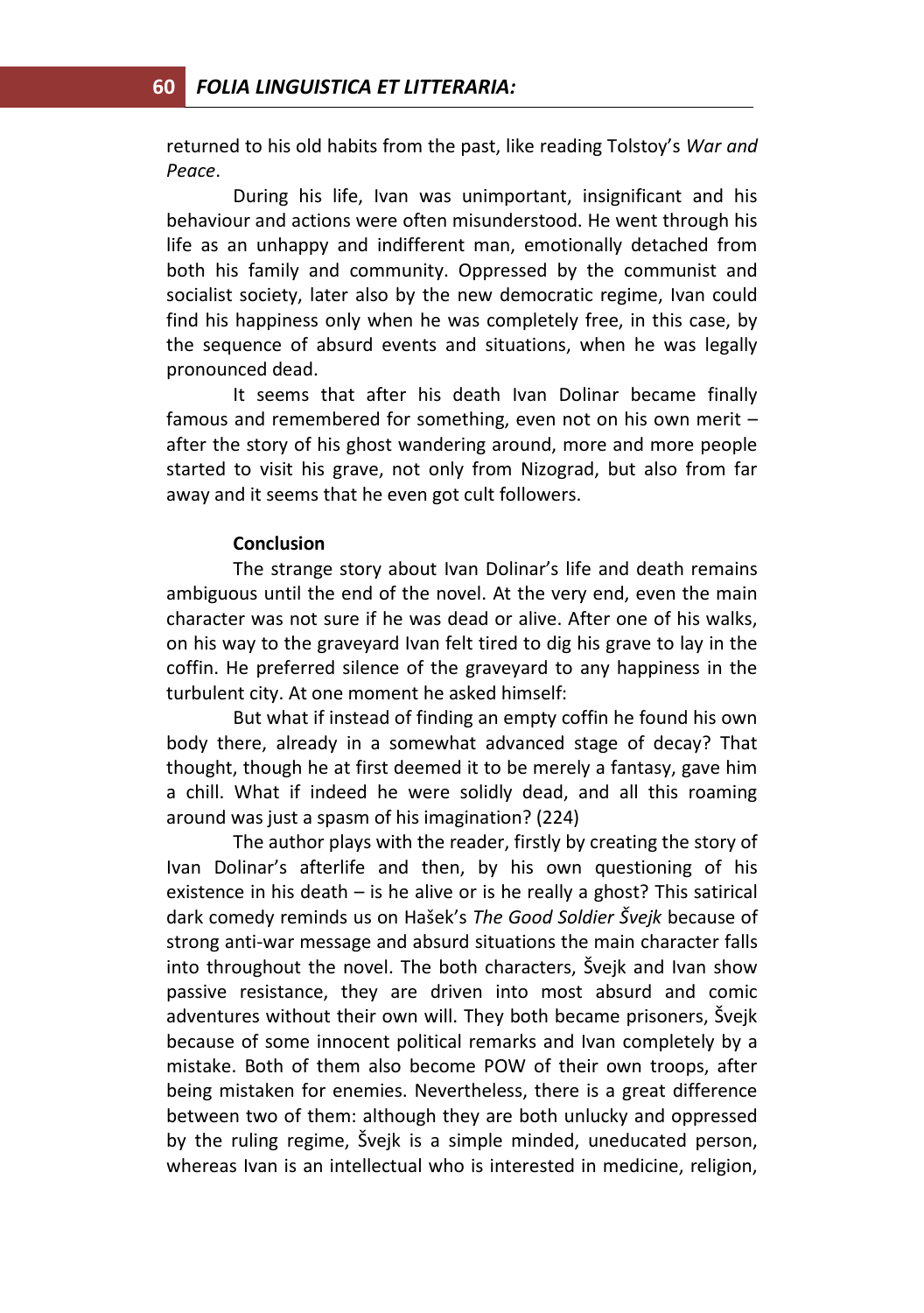returned to his old habits from the past, like reading Tolstoy's *War and Peace*.

During his life, Ivan was unimportant, insignificant and his behaviour and actions were often misunderstood. He went through his life as an unhappy and indifferent man, emotionally detached from both his family and community. Oppressed by the communist and socialist society, later also by the new democratic regime, Ivan could find his happiness only when he was completely free, in this case, by the sequence of absurd events and situations, when he was legally pronounced dead.

It seems that after his death Ivan Dolinar became finally famous and remembered for something, even not on his own merit – after the story of his ghost wandering around, more and more people started to visit his grave, not only from Nizograd, but also from far away and it seems that he even got cult followers.

#### **Conclusion**

The strange story about Ivan Dolinar's life and death remains ambiguous until the end of the novel. At the very end, even the main character was not sure if he was dead or alive. After one of his walks, on his way to the graveyard Ivan felt tired to dig his grave to lay in the coffin. He preferred silence of the graveyard to any happiness in the turbulent city. At one moment he asked himself:

But what if instead of finding an empty coffin he found his own body there, already in a somewhat advanced stage of decay? That thought, though he at first deemed it to be merely a fantasy, gave him a chill. What if indeed he were solidly dead, and all this roaming around was just a spasm of his imagination? (224)

The author plays with the reader, firstly by creating the story of Ivan Dolinar's afterlife and then, by his own questioning of his existence in his death  $-$  is he alive or is he really a ghost? This satirical dark comedy reminds us on Hašek's *The Good Soldier Švejk* because of strong anti-war message and absurd situations the main character falls into throughout the novel. The both characters, Švejk and Ivan show passive resistance, they are driven into most absurd and comic adventures without their own will. They both became prisoners, Švejk because of some innocent political remarks and Ivan completely by a mistake. Both of them also become POW of their own troops, after being mistaken for enemies. Nevertheless, there is a great difference between two of them: although they are both unlucky and oppressed by the ruling regime, Švejk is a simple minded, uneducated person, whereas Ivan is an intellectual who is interested in medicine, religion,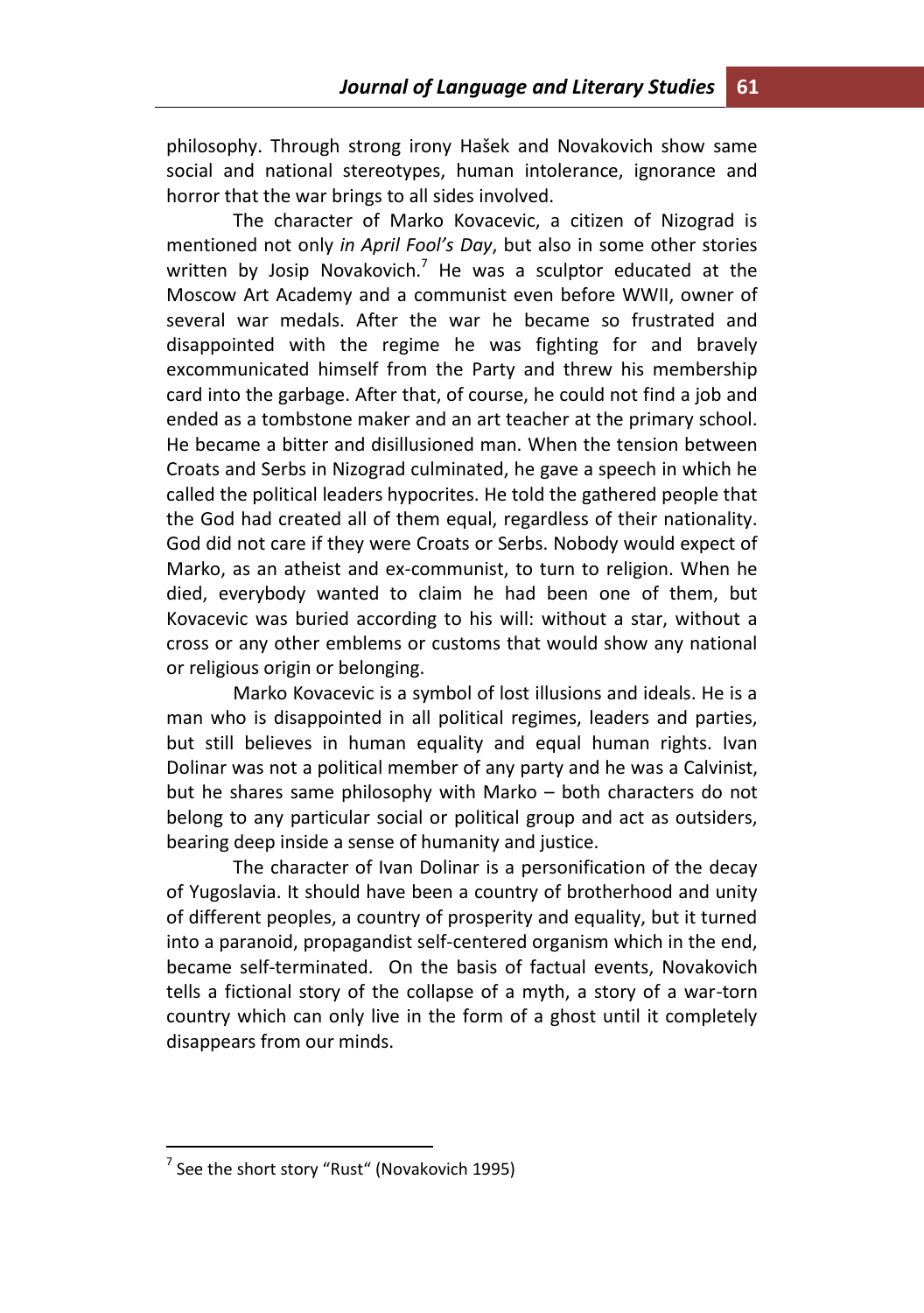philosophy. Through strong irony Hašek and Novakovich show same social and national stereotypes, human intolerance, ignorance and horror that the war brings to all sides involved.

The character of Marko Kovacevic, a citizen of Nizograd is mentioned not only *in April Fool's Day*, but also in some other stories written by Josip Novakovich.<sup>7</sup> He was a sculptor educated at the Moscow Art Academy and a communist even before WWII, owner of several war medals. After the war he became so frustrated and disappointed with the regime he was fighting for and bravely excommunicated himself from the Party and threw his membership card into the garbage. After that, of course, he could not find a job and ended as a tombstone maker and an art teacher at the primary school. He became a bitter and disillusioned man. When the tension between Croats and Serbs in Nizograd culminated, he gave a speech in which he called the political leaders hypocrites. He told the gathered people that the God had created all of them equal, regardless of their nationality. God did not care if they were Croats or Serbs. Nobody would expect of Marko, as an atheist and ex-communist, to turn to religion. When he died, everybody wanted to claim he had been one of them, but Kovacevic was buried according to his will: without a star, without a cross or any other emblems or customs that would show any national or religious origin or belonging.

Marko Kovacevic is a symbol of lost illusions and ideals. He is a man who is disappointed in all political regimes, leaders and parties, but still believes in human equality and equal human rights. Ivan Dolinar was not a political member of any party and he was a Calvinist, but he shares same philosophy with Marko – both characters do not belong to any particular social or political group and act as outsiders, bearing deep inside a sense of humanity and justice.

The character of Ivan Dolinar is a personification of the decay of Yugoslavia. It should have been a country of brotherhood and unity of different peoples, a country of prosperity and equality, but it turned into a paranoid, propagandist self-centered organism which in the end, became self-terminated. On the basis of factual events, Novakovich tells a fictional story of the collapse of a myth, a story of a war-torn country which can only live in the form of a ghost until it completely disappears from our minds.

 $\overline{a}$ 

<sup>&</sup>lt;sup>7</sup> See the short story "Rust" (Novakovich 1995)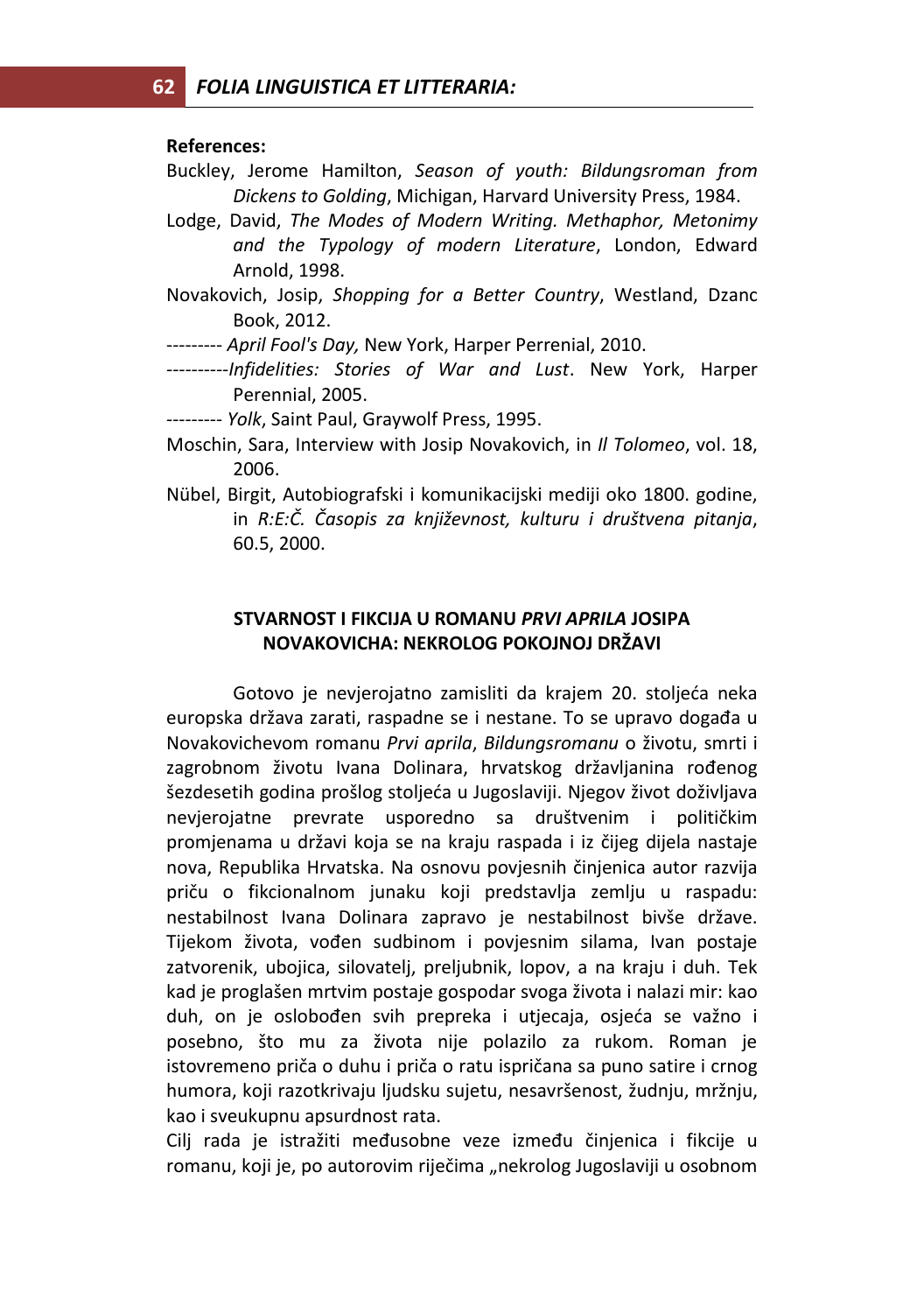#### **References:**

- Buckley, Jerome Hamilton, *Season of youth: Bildungsroman from Dickens to Golding*, Michigan, Harvard University Press, 1984.
- Lodge, David, *The Modes of Modern Writing. Methaphor, Metonimy and the Typology of modern Literature*, London, Edward Arnold, 1998.
- Novakovich, Josip, *Shopping for a Better Country*, Westland, Dzanc Book, 2012.
- --------- *April Fool's Day,* New York, Harper Perrenial, 2010.
- *----------Infidelities: Stories of War and Lust*. New York, Harper Perennial, 2005.
- --------- *Yolk*, Saint Paul, Graywolf Press, 1995.
- Moschin, Sara, Interview with Josip Novakovich, in *Il Tolomeo*, vol. 18, 2006.
- Nübel, Birgit, Autobiografski i komunikacijski mediji oko 1800. godine, in *R:E:Č. Časopis za književnost, kulturu i društvena pitanja*, 60.5, 2000.

### **STVARNOST I FIKCIJA U ROMANU** *PRVI APRILA* **JOSIPA NOVAKOVICHA: NEKROLOG POKOJNOJ DRŽAVI**

Gotovo je nevjerojatno zamisliti da krajem 20. stoljeća neka europska država zarati, raspadne se i nestane. To se upravo događa u Novakovichevom romanu *Prvi aprila*, *Bildungsromanu* o životu, smrti i zagrobnom životu Ivana Dolinara, hrvatskog državljanina rođenog šezdesetih godina prošlog stoljeća u Jugoslaviji. Njegov život doživljava nevjerojatne prevrate usporedno sa društvenim i političkim promjenama u državi koja se na kraju raspada i iz čijeg dijela nastaje nova, Republika Hrvatska. Na osnovu povjesnih činjenica autor razvija priču o fikcionalnom junaku koji predstavlja zemlju u raspadu: nestabilnost Ivana Dolinara zapravo je nestabilnost bivše države. Tijekom života, vođen sudbinom i povjesnim silama, Ivan postaje zatvorenik, ubojica, silovatelj, preljubnik, lopov, a na kraju i duh. Tek kad je proglašen mrtvim postaje gospodar svoga života i nalazi mir: kao duh, on je oslobođen svih prepreka i utjecaja, osjeća se važno i posebno, što mu za života nije polazilo za rukom. Roman je istovremeno priča o duhu i priča o ratu ispričana sa puno satire i crnog humora, koji razotkrivaju ljudsku sujetu, nesavršenost, žudnju, mržnju, kao i sveukupnu apsurdnost rata.

Cilj rada je istražiti međusobne veze između činjenica i fikcije u romanu, koji je, po autorovim riječima "nekrolog Jugoslaviji u osobnom